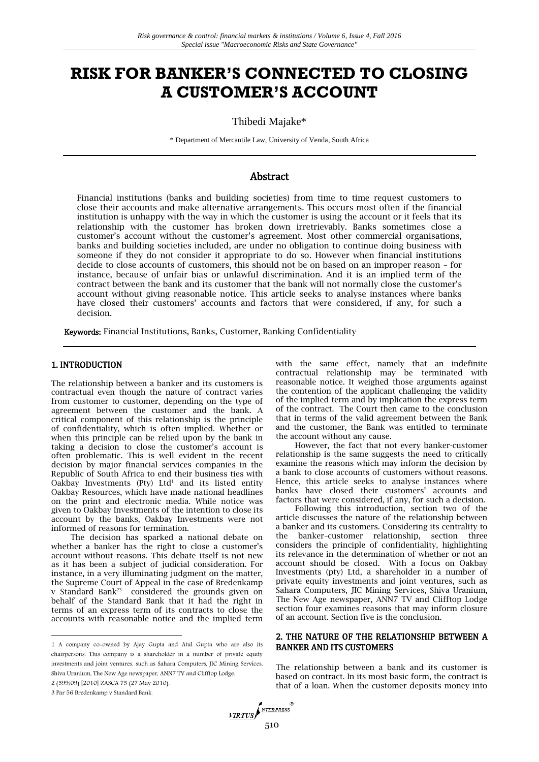# **RISK FOR BANKER'S CONNECTED TO CLOSING A CUSTOMER'S ACCOUNT**

Thibedi Majake\*

\* Department of Mercantile Law, University of Venda, South Africa

# Abstract

Financial institutions (banks and building societies) from time to time request customers to close their accounts and make alternative arrangements. This occurs most often if the financial institution is unhappy with the way in which the customer is using the account or it feels that its relationship with the customer has broken down irretrievably. Banks sometimes close a customer's account without the customer's agreement. Most other commercial organisations, banks and building societies included, are under no obligation to continue doing business with someone if they do not consider it appropriate to do so. However when financial institutions decide to close accounts of customers, this should not be on based on an improper reason – for instance, because of unfair bias or unlawful discrimination. And it is an implied term of the contract between the bank and its customer that the bank will not normally close the customer's account without giving reasonable notice. This article seeks to analyse instances where banks have closed their customers' accounts and factors that were considered, if any, for such a decision.

Keywords: Financial Institutions, Banks, Customer, Banking Confidentiality

#### 1. INTRODUCTION

The relationship between a banker and its customers is contractual even though the nature of contract varies from customer to customer, depending on the type of agreement between the customer and the bank. A critical component of this relationship is the principle of confidentiality, which is often implied. Whether or when this principle can be relied upon by the bank in taking a decision to close the customer's account is often problematic. This is well evident in the recent decision by major financial services companies in the Republic of South Africa to end their business ties with Oakbay Investments (Pty)  $Ltd<sup>1</sup>$  and its listed entity Oakbay Resources, which have made national headlines on the print and electronic media. While notice was given to Oakbay Investments of the intention to close its account by the banks, Oakbay Investments were not informed of reasons for termination.

The decision has sparked a national debate on whether a banker has the right to close a customer's account without reasons. This debate itself is not new as it has been a subject of judicial consideration. For instance, in a very illuminating judgment on the matter, the Supreme Court of Appeal in the case of Bredenkamp v Standard Bank<sup>23</sup> considered the grounds given on behalf of the Standard Bank that it had the right in terms of an express term of its contracts to close the accounts with reasonable notice and the implied term

1 A company co-owned by Ajay Gupta and Atul Gupta who are also its chairpersons. This company is a shareholder in a number of private equity investments and joint ventures, such as Sahara Computers, JIC Mining Services, Shiva Uranium, The New Age newspaper, ANN7 TV and Clifftop Lodge. 2 (599/09) [2010] ZASCA 75 (27 May 2010).

3 Par 56 Bredenkamp v Standard Bank.

1

with the same effect, namely that an indefinite contractual relationship may be terminated with reasonable notice. It weighed those arguments against the contention of the applicant challenging the validity of the implied term and by implication the express term of the contract. The Court then came to the conclusion that in terms of the valid agreement between the Bank and the customer, the Bank was entitled to terminate the account without any cause.

However, the fact that not every banker-customer relationship is the same suggests the need to critically examine the reasons which may inform the decision by a bank to close accounts of customers without reasons. Hence, this article seeks to analyse instances where banks have closed their customers' accounts and factors that were considered, if any, for such a decision.

Following this introduction, section two of the article discusses the nature of the relationship between a banker and its customers. Considering its centrality to the banker–customer relationship, section three considers the principle of confidentiality, highlighting its relevance in the determination of whether or not an account should be closed. With a focus on Oakbay Investments (pty) Ltd, a shareholder in a number of private equity investments and joint ventures, such as Sahara Computers, JIC Mining Services, Shiva Uranium, The New Age newspaper, ANN7 TV and Clifftop Lodge section four examines reasons that may inform closure of an account. Section five is the conclusion.

#### 2. THE NATURE OF THE RELATIONSHIP BETWEEN A BANKER AND ITS CUSTOMERS

The relationship between a bank and its customer is based on contract. In its most basic form, the contract is that of a loan. When the customer deposits money into

 $VIRTUS \n\begin{cases} \n\frac{NTERPRES}{S} \n\end{cases}$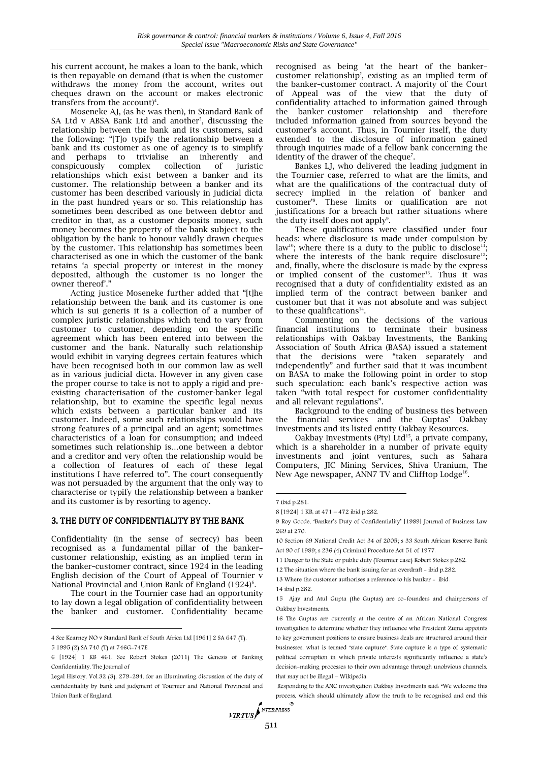his current account, he makes a loan to the bank, which is then repayable on demand (that is when the customer withdraws the money from the account, writes out cheques drawn on the account or makes electronic transfers from the  $account)^4$ .

Moseneke AJ, (as he was then), in Standard Bank of SA Ltd v ABSA Bank Ltd and another<sup>5</sup>, discussing the relationship between the bank and its customers, said the following: "[T]o typify the relationship between a bank and its customer as one of agency is to simplify and perhaps to trivialise an inherently and conspicuously complex collection of juristic relationships which exist between a banker and its customer. The relationship between a banker and its customer has been described variously in judicial dicta in the past hundred years or so. This relationship has sometimes been described as one between debtor and creditor in that, as a customer deposits money, such money becomes the property of the bank subject to the obligation by the bank to honour validly drawn cheques by the customer. This relationship has sometimes been characterised as one in which the customer of the bank retains 'a special property or interest in the money deposited, although the customer is no longer the owner thereof'."

Acting justice Moseneke further added that "[t]he relationship between the bank and its customer is one which is sui generis it is a collection of a number of complex juristic relationships which tend to vary from customer to customer, depending on the specific agreement which has been entered into between the customer and the bank. Naturally such relationship would exhibit in varying degrees certain features which have been recognised both in our common law as well as in various judicial dicta. However in any given case the proper course to take is not to apply a rigid and preexisting characterisation of the customer-banker legal relationship, but to examine the specific legal nexus which exists between a particular banker and its customer. Indeed, some such relationships would have strong features of a principal and an agent; sometimes characteristics of a loan for consumption; and indeed sometimes such relationship is…one between a debtor and a creditor and very often the relationship would be a collection of features of each of these legal institutions I have referred to". The court consequently was not persuaded by the argument that the only way to characterise or typify the relationship between a banker and its customer is by resorting to agency.

# 3. THE DUTY OF CONFIDENTIALITY BY THE BANK

Confidentiality (in the sense of secrecy) has been recognised as a fundamental pillar of the banker– customer relationship, existing as an implied term in the banker–customer contract, since 1924 in the leading English decision of the Court of Appeal of Tournier v National Provincial and Union Bank of England (1924)<sup>6</sup>.

The court in the Tournier case had an opportunity to lay down a legal obligation of confidentiality between the banker and customer. Confidentiality became

recognised as being 'at the heart of the banker– customer relationship', existing as an implied term of the banker–customer contract. A majority of the Court of Appeal was of the view that the duty of confidentiality attached to information gained through the banker–customer relationship and therefore included information gained from sources beyond the customer's account. Thus, in Tournier itself, the duty extended to the disclosure of information gained through inquiries made of a fellow bank concerning the identity of the drawer of the cheque<sup>7</sup>.

Bankes LJ, who delivered the leading judgment in the Tournier case, referred to what are the limits, and what are the qualifications of the contractual duty of secrecy implied in the relation of banker and customer'<sup>8</sup> . These limits or qualification are not justifications for a breach but rather situations where the duty itself does not apply<sup>9</sup>.

These qualifications were classified under four heads: where disclosure is made under compulsion by law<sup>10</sup>; where there is a duty to the public to disclose<sup>11</sup>; where the interests of the bank require disclosure<sup>12</sup>; and, finally, where the disclosure is made by the express or implied consent of the customer<sup>13</sup>. Thus it was recognised that a duty of confidentiality existed as an implied term of the contract between banker and customer but that it was not absolute and was subject to these qualifications $14$ .

Commenting on the decisions of the various financial institutions to terminate their business relationships with Oakbay Investments, the Banking Association of South Africa (BASA) issued a statement that the decisions were "taken separately and independently" and further said that it was incumbent on BASA to make the following point in order to stop such speculation: each bank's respective action was taken "with total respect for customer confidentiality and all relevant regulations".

Background to the ending of business ties between the financial services and the Guptas' Oakbay Investments and its listed entity Oakbay Resources.

Oakbay Investments (Pty) Ltd<sup>15</sup>, a private company, which is a shareholder in a number of private equity investments and joint ventures, such as Sahara Computers, JIC Mining Services, Shiva Uranium, The New Age newspaper, ANN7 TV and Clifftop Lodge<sup>16</sup>.

-

10 Section 69 National Credit Act 34 of 2005; s 33 South African Reserve Bank Act 90 of 1989; s 236 (4) Criminal Procedure Act 51 of 1977.

<sup>1</sup> 4 See Kearney NO v Standard Bank of South Africa Ltd [1961] 2 SA 647 (T).

<sup>5</sup> 1995 (2) SA 740 (T) at 746G-747E.

<sup>6</sup> [1924] 1 KB 461. See Robert Stokes (2011) The Genesis of Banking Confidentiality, The Journal of

Legal History, Vol.32 (3), 279-294, for an illuminating discussion of the duty of confidentiality by bank and judgment of Tournier and National Provincial and Union Bank of England.

<sup>7</sup> ibid p.281.

<sup>8</sup> [1924] 1 KB, at 471 – 472 ibid p.282.

<sup>9</sup> Roy Goode, 'Banker's Duty of Confidentiality' [1989] Journal of Business Law 269 at 270.

<sup>11</sup> Danger to the State or public duty (Tournier case) Robert Stokes p.282.

<sup>12</sup> The situation where the bank issuing for an overdraft - ibid p.282.

<sup>13</sup> Where the customer authorises a reference to his banker - ibid.

<sup>14</sup> ibid p.282.

<sup>15</sup> Ajay and Atul Gupta (the Guptas) are co-founders and chairpersons of Oakbay Investments.

<sup>16</sup> The Guptas are currently at the centre of an African National Congress investigation to determine whether they influence who President Zuma appoints to key government positions to ensure business deals are structured around their businesses, what is termed "state capture". State capture is a type of systematic political corruption in which private interests significantly influence a state's decision-making processes to their own advantage through unobvious channels, that may not be illegal – Wikipedia.

Responding to the ANC investigation Oakbay Investments said: "We welcome this process, which should ultimately allow the truth to be recognised and end this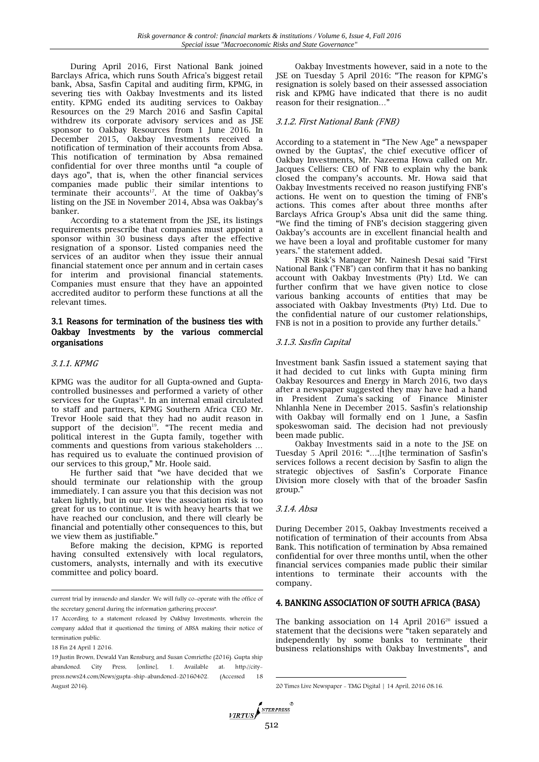During April 2016, First National Bank joined Barclays Africa, which runs South Africa's biggest retail bank, Absa, Sasfin Capital and auditing firm, KPMG, in severing ties with Oakbay Investments and its listed entity. KPMG ended its auditing services to Oakbay Resources on the 29 March 2016 and Sasfin Capital withdrew its corporate advisory services and as JSE sponsor to Oakbay Resources from 1 June 2016. In December 2015, Oakbay Investments received a notification of termination of their accounts from Absa. This notification of termination by Absa remained confidential for over three months until "a couple of days ago", that is, when the other financial services companies made public their similar intentions to terminate their accounts<sup>17</sup>. At the time of Oakbay's listing on the JSE in November 2014, Absa was Oakbay's banker.

According to a statement from the JSE, its listings requirements prescribe that companies must appoint a sponsor within 30 business days after the effective resignation of a sponsor. Listed companies need the services of an auditor when they issue their annual financial statement once per annum and in certain cases for interim and provisional financial statements. Companies must ensure that they have an appointed accredited auditor to perform these functions at all the relevant times.

# 3.1 Reasons for termination of the business ties with Oakbay Investments by the various commercial organisations

#### 3.1.1. KPMG

KPMG was the auditor for all Gupta-owned and Guptacontrolled businesses and performed a variety of other services for the Guptas<sup>18</sup>. In an internal email circulated to staff and partners, KPMG Southern Africa CEO Mr. Trevor Hoole said that they had no audit reason in support of the decision $19$ . "The recent media and political interest in the Gupta family, together with comments and questions from various stakeholders … has required us to evaluate the continued provision of our services to this group," Mr. Hoole said.

He further said that "we have decided that we should terminate our relationship with the group immediately. I can assure you that this decision was not taken lightly, but in our view the association risk is too great for us to continue. It is with heavy hearts that we have reached our conclusion, and there will clearly be financial and potentially other consequences to this, but we view them as justifiable."

Before making the decision, KPMG is reported having consulted extensively with local regulators, customers, analysts, internally and with its executive committee and policy board.

1

Oakbay Investments however, said in a note to the JSE on Tuesday 5 April 2016: "The reason for KPMG's resignation is solely based on their assessed association risk and KPMG have indicated that there is no audit reason for their resignation…"

#### 3.1.2. First National Bank (FNB)

According to a statement in "The New Age" a newspaper owned by the Guptas', the chief executive officer of Oakbay Investments, Mr. Nazeema Howa called on Mr. Jacques Celliers: CEO of FNB to explain why the bank closed the company's accounts. Mr. Howa said that Oakbay Investments received no reason justifying FNB's actions. He went on to question the timing of FNB's actions. This comes after about three months after Barclays Africa Group's Absa unit did the same thing. "We find the timing of FNB's decision staggering given Oakbay's accounts are in excellent financial health and we have been a loyal and profitable customer for many years." the statement added.

FNB Risk's Manager Mr. Nainesh Desai said "First National Bank ("FNB") can confirm that it has no banking account with Oakbay Investments (Pty) Ltd. We can further confirm that we have given notice to close various banking accounts of entities that may be associated with Oakbay Investments (Pty) Ltd. Due to the confidential nature of our customer relationships, FNB is not in a position to provide any further details."

# 3.1.3. Sasfin Capital

Investment bank Sasfin issued a statement saying that it [had decided to cut links with Gupta mining firm](http://ewn.co.za/2016/04/04/Corporate-South-Africa-turns-its-back-on-Zuma-friends)  [Oakbay Resources](http://ewn.co.za/2016/04/04/Corporate-South-Africa-turns-its-back-on-Zuma-friends) and Energy in March 2016, two days after a newspaper suggested they may have had a hand in President Zuma's sacking of Finance Minister Nhlanhla Nene in December 2015. Sasfin's relationship with Oakbay will formally end on 1 June, a Sasfin spokeswoman said. The decision had not previously been made public.

Oakbay Investments said in a note to the JSE on Tuesday 5 April 2016: "….[t]he termination of Sasfin's services follows a recent decision by Sasfin to align the strategic objectives of Sasfin's Corporate Finance Division more closely with that of the broader Sasfin group."

#### 3.1.4. Absa

During December 2015, Oakbay Investments received a notification of termination of their accounts from Absa Bank. This notification of termination by Absa remained confidential for over three months until, when the other financial services companies made public their similar intentions to terminate their accounts with the company.

# 4. BANKING ASSOCIATION OF SOUTH AFRICA (BASA)

The banking association on  $14$  April 2016<sup>20</sup> issued a statement that the decisions were "taken separately and independently by some banks to terminate their business relationships with Oakbay Investments", and

current trial by innuendo and slander. We will fully co-operate with the office of the secretary general during the information gathering process".

<sup>17</sup> According to a statement released by Oakbay Investments, wherein the company added that it questioned the timing of ABSA making their notice of termination public.

<sup>18</sup> Fin 24 April 1 2016.

<sup>19</sup> Justin Brown, Dewald Van Rensburg and Susan Comriethe (2016). Gupta ship abandoned. City Press, [online], 1. Available at: [http://city](http://city-press.news24.com/News/gupta-ship-abandoned-20160402)[press.news24.com/News/gupta-ship-abandoned-20160402.](http://city-press.news24.com/News/gupta-ship-abandoned-20160402) (Accessed 18 August 2016).

<sup>-</sup>20 Times Live Newspaper - TMG Digital | 14 April, 2016 08:16.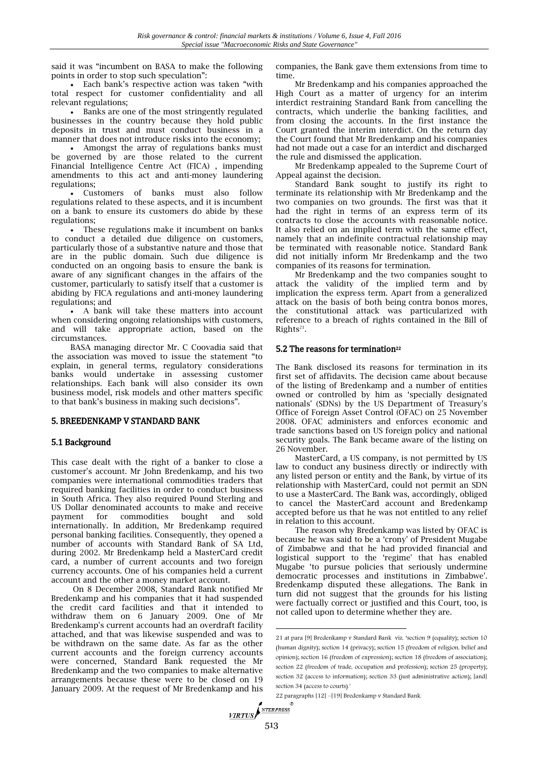said it was "incumbent on BASA to make the following points in order to stop such speculation":

 Each bank's respective action was taken "with total respect for customer confidentiality and all relevant regulations;

 Banks are one of the most stringently regulated businesses in the country because they hold public deposits in trust and must conduct business in a manner that does not introduce risks into the economy;

 Amongst the array of regulations banks must be governed by are those related to the current Financial Intelligence Centre Act (FICA), impending amendments to this act and anti-money laundering regulations;

 Customers of banks must also follow regulations related to these aspects, and it is incumbent on a bank to ensure its customers do abide by these regulations;

 These regulations make it incumbent on banks to conduct a detailed due diligence on customers, particularly those of a substantive nature and those that are in the public domain. Such due diligence is conducted on an ongoing basis to ensure the bank is aware of any significant changes in the affairs of the customer, particularly to satisfy itself that a customer is abiding by FICA regulations and anti-money laundering regulations; and

 A bank will take these matters into account when considering ongoing relationships with customers, and will take appropriate action, based on the circumstances.

BASA managing director Mr. C Coovadia said that the association was moved to issue the statement "to explain, in general terms, regulatory considerations banks would undertake in assessing customer relationships. Each bank will also consider its own business model, risk models and other matters specific to that bank's business in making such decisions".

# 5. BREEDENKAMP V STANDARD BANK

# 5.1 Background

This case dealt with the right of a banker to close a customer's account. Mr John Bredenkamp, and his two companies were international commodities traders that required banking facilities in order to conduct business in South Africa. They also required Pound Sterling and US Dollar denominated accounts to make and receive payment for commodities bought and sold internationally. In addition, Mr Bredenkamp required personal banking facilities. Consequently, they opened a number of accounts with Standard Bank of SA Ltd, during 2002. Mr Bredenkamp held a MasterCard credit card, a number of current accounts and two foreign currency accounts. One of his companies held a current account and the other a money market account.

On 8 December 2008, Standard Bank notified Mr Bredenkamp and his companies that it had suspended the credit card facilities and that it intended to withdraw them on 6 January 2009. One of Mr Bredenkamp's current accounts had an overdraft facility attached, and that was likewise suspended and was to be withdrawn on the same date. As far as the other current accounts and the foreign currency accounts were concerned, Standard Bank requested the Mr Bredenkamp and the two companies to make alternative arrangements because these were to be closed on 19 January 2009. At the request of Mr Bredenkamp and his companies, the Bank gave them extensions from time to time.

Mr Bredenkamp and his companies approached the High Court as a matter of urgency for an interim interdict restraining Standard Bank from cancelling the contracts, which underlie the banking facilities, and from closing the accounts. In the first instance the Court granted the interim interdict. On the return day the Court found that Mr Bredenkamp and his companies had not made out a case for an interdict and discharged the rule and dismissed the application.

Mr Bredenkamp appealed to the Supreme Court of Appeal against the decision.

Standard Bank sought to justify its right to terminate its relationship with Mr Bredenkamp and the two companies on two grounds. The first was that it had the right in terms of an express term of its contracts to close the accounts with reasonable notice. It also relied on an implied term with the same effect, namely that an indefinite contractual relationship may be terminated with reasonable notice. Standard Bank did not initially inform Mr Bredenkamp and the two companies of its reasons for termination.

Mr Bredenkamp and the two companies sought to attack the validity of the implied term and by implication the express term. Apart from a generalized attack on the basis of both being contra bonos mores, the constitutional attack was particularized with reference to a breach of rights contained in the Bill of  $RightS<sup>21</sup>$ .

# 5.2 The reasons for termination<sup>22</sup>

The Bank disclosed its reasons for termination in its first set of affidavits. The decision came about because of the listing of Bredenkamp and a number of entities owned or controlled by him as 'specially designated nationals' (SDNs) by the US Department of Treasury's Office of Foreign Asset Control (OFAC) on 25 November 2008. OFAC administers and enforces economic and trade sanctions based on US foreign policy and national security goals. The Bank became aware of the listing on 26 November.

MasterCard, a US company, is not permitted by US law to conduct any business directly or indirectly with any listed person or entity and the Bank, by virtue of its relationship with MasterCard, could not permit an SDN to use a MasterCard. The Bank was, accordingly, obliged to cancel the MasterCard account and Bredenkamp accepted before us that he was not entitled to any relief in relation to this account.

The reason why Bredenkamp was listed by OFAC is because he was said to be a 'crony' of President Mugabe of Zimbabwe and that he had provided financial and logistical support to the 'regime' that has enabled Mugabe 'to pursue policies that seriously undermine democratic processes and institutions in Zimbabwe'. Bredenkamp disputed these allegations. The Bank in turn did not suggest that the grounds for his listing were factually correct or justified and this Court, too, is not called upon to determine whether they are.

1

<sup>21</sup> at para [9] Bredenkamp v Standard Bank viz. 'section 9 (equality); section 10 (human dignity); section 14 (privacy); section 15 (freedom of religion, belief and opinion); section 16 (freedom of expression); section 18 (freedom of association); section 22 (freedom of trade, occupation and profession); section 25 (property); section 32 (access to information); section 33 (just administrative action); [and] section 34 (access to courts).

<sup>22</sup> paragraphs [12] –[19] Bredenkamp v Standard Bank.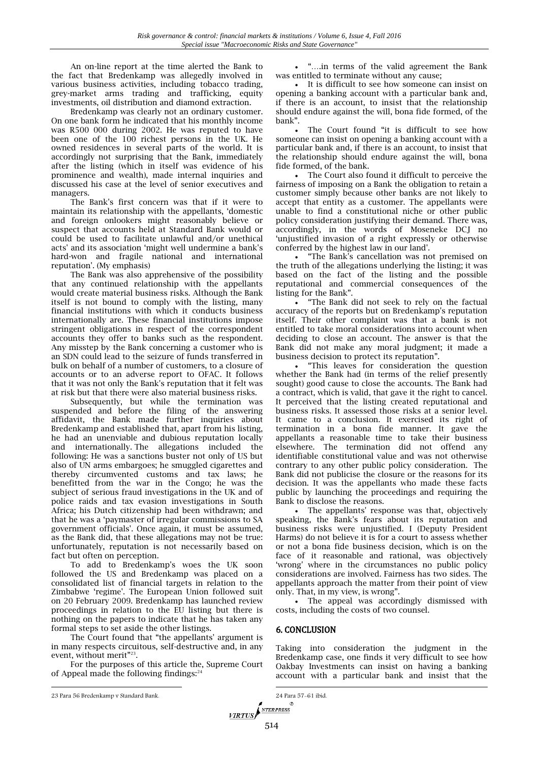An on-line report at the time alerted the Bank to the fact that Bredenkamp was allegedly involved in various business activities, including tobacco trading, grey-market arms trading and trafficking, equity investments, oil distribution and diamond extraction.

Bredenkamp was clearly not an ordinary customer. On one bank form he indicated that his monthly income was R500 000 during 2002. He was reputed to have been one of the 100 richest persons in the UK. He owned residences in several parts of the world. It is accordingly not surprising that the Bank, immediately after the listing (which in itself was evidence of his prominence and wealth), made internal inquiries and discussed his case at the level of senior executives and managers.

The Bank's first concern was that if it were to maintain its relationship with the appellants, 'domestic and foreign onlookers might reasonably believe or suspect that accounts held at Standard Bank would or could be used to facilitate unlawful and/or unethical acts' and its association 'might well undermine a bank's hard-won and fragile national and international reputation'. (My emphasis)

The Bank was also apprehensive of the possibility that any continued relationship with the appellants would create material business risks. Although the Bank itself is not bound to comply with the listing, many financial institutions with which it conducts business internationally are. These financial institutions impose stringent obligations in respect of the correspondent accounts they offer to banks such as the respondent. Any misstep by the Bank concerning a customer who is an SDN could lead to the seizure of funds transferred in bulk on behalf of a number of customers, to a closure of accounts or to an adverse report to OFAC. It follows that it was not only the Bank's reputation that it felt was at risk but that there were also material business risks.

Subsequently, but while the termination was suspended and before the filing of the answering affidavit, the Bank made further inquiries about Bredenkamp and established that, apart from his listing, he had an unenviable and dubious reputation locally and internationally. The allegations included the following: He was a sanctions buster not only of US but also of UN arms embargoes; he smuggled cigarettes and thereby circumvented customs and tax laws; he benefitted from the war in the Congo; he was the subject of serious fraud investigations in the UK and of police raids and tax evasion investigations in South Africa; his Dutch citizenship had been withdrawn; and that he was a 'paymaster of irregular commissions to SA government officials'. Once again, it must be assumed, as the Bank did, that these allegations may not be true: unfortunately, reputation is not necessarily based on fact but often on perception.

To add to Bredenkamp's woes the UK soon followed the US and Bredenkamp was placed on a consolidated list of financial targets in relation to the Zimbabwe 'regime'. The European Union followed suit on 20 February 2009. Bredenkamp has launched review proceedings in relation to the EU listing but there is nothing on the papers to indicate that he has taken any formal steps to set aside the other listings.

The Court found that "the appellants' argument is in many respects circuitous, self-destructive and, in any event, without merit"<sup>2</sup> .

For the purposes of this article the, Supreme Court of Appeal made the following findings: $24$ 

 It is difficult to see how someone can insist on opening a banking account with a particular bank and, if there is an account, to insist that the relationship should endure against the will, bona fide formed, of the bank".

 The Court found "it is difficult to see how someone can insist on opening a banking account with a particular bank and, if there is an account, to insist that the relationship should endure against the will, bona fide formed, of the bank.

 The Court also found it difficult to perceive the fairness of imposing on a Bank the obligation to retain a customer simply because other banks are not likely to accept that entity as a customer. The appellants were unable to find a constitutional niche or other public policy consideration justifying their demand. There was, accordingly, in the words of Moseneke DCJ no 'unjustified invasion of a right expressly or otherwise conferred by the highest law in our land'.

 "The Bank's cancellation was not premised on the truth of the allegations underlying the listing; it was based on the fact of the listing and the possible reputational and commercial consequences of the listing for the Bank".

 "The Bank did not seek to rely on the factual accuracy of the reports but on Bredenkamp's reputation itself. Their other complaint was that a bank is not entitled to take moral considerations into account when deciding to close an account. The answer is that the Bank did not make any moral judgment; it made a business decision to protect its reputation".

 "This leaves for consideration the question whether the Bank had (in terms of the relief presently sought) good cause to close the accounts. The Bank had a contract, which is valid, that gave it the right to cancel. It perceived that the listing created reputational and business risks. It assessed those risks at a senior level. It came to a conclusion. It exercised its right of termination in a bona fide manner. It gave the appellants a reasonable time to take their business elsewhere. The termination did not offend any identifiable constitutional value and was not otherwise contrary to any other public policy consideration. The Bank did not publicise the closure or the reasons for its decision. It was the appellants who made these facts public by launching the proceedings and requiring the Bank to disclose the reasons.

 The appellants' response was that, objectively speaking, the Bank's fears about its reputation and business risks were unjustified. I (Deputy President Harms) do not believe it is for a court to assess whether or not a bona fide business decision, which is on the face of it reasonable and rational, was objectively 'wrong' where in the circumstances no public policy considerations are involved. Fairness has two sides. The appellants approach the matter from their point of view only. That, in my view, is wrong".

 The appeal was accordingly dismissed with costs, including the costs of two counsel.

# 6. CONCLUSION

Taking into consideration the judgment in the Bredenkamp case, one finds it very difficult to see how Oakbay Investments can insist on having a banking account with a particular bank and insist that the

1

1

"….in terms of the valid agreement the Bank was entitled to terminate without any cause;

<sup>23</sup> Para 56 Bredenkamp v Standard Bank.

VIRTUS<br>514 24 Para 57-61 ibid.